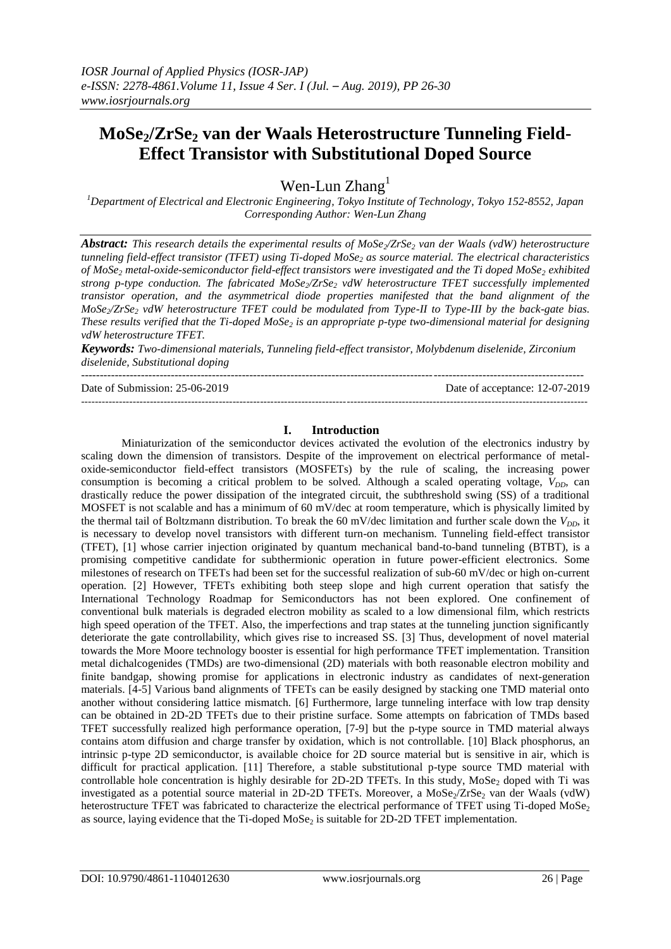# **MoSe2/ZrSe<sup>2</sup> van der Waals Heterostructure Tunneling Field-Effect Transistor with Substitutional Doped Source**

Wen-Lun Zhang<sup>1</sup>

*<sup>1</sup>Department of Electrical and Electronic Engineering, Tokyo Institute of Technology, Tokyo 152-8552, Japan Corresponding Author: Wen-Lun Zhang*

*Abstract: This research details the experimental results of MoSe2/ZrSe<sup>2</sup> van der Waals (vdW) heterostructure tunneling field-effect transistor (TFET) using Ti-doped MoSe<sup>2</sup> as source material. The electrical characteristics of MoSe<sup>2</sup> metal-oxide-semiconductor field-effect transistors were investigated and the Ti doped MoSe<sup>2</sup> exhibited strong p-type conduction. The fabricated MoSe2/ZrSe<sup>2</sup> vdW heterostructure TFET successfully implemented transistor operation, and the asymmetrical diode properties manifested that the band alignment of the MoSe2/ZrSe<sup>2</sup> vdW heterostructure TFET could be modulated from Type-II to Type-III by the back-gate bias. These results verified that the Ti-doped MoSe<sup>2</sup> is an appropriate p-type two-dimensional material for designing vdW heterostructure TFET.*

*Keywords: Two-dimensional materials, Tunneling field-effect transistor, Molybdenum diselenide, Zirconium diselenide, Substitutional doping*

--------------------------------------------------------------------------------------------------------------------------------------

Date of Submission: 25-06-2019 Date of acceptance: 12-07-2019 ---------------------------------------------------------------------------------------------------------------------------------------------------

### **I. Introduction**

Miniaturization of the semiconductor devices activated the evolution of the electronics industry by scaling down the dimension of transistors. Despite of the improvement on electrical performance of metaloxide-semiconductor field-effect transistors (MOSFETs) by the rule of scaling, the increasing power consumption is becoming a critical problem to be solved. Although a scaled operating voltage, *VDD*, can drastically reduce the power dissipation of the integrated circuit, the subthreshold swing (SS) of a traditional MOSFET is not scalable and has a minimum of 60 mV/dec at room temperature, which is physically limited by the thermal tail of Boltzmann distribution. To break the 60 mV/dec limitation and further scale down the  $V_{DD}$ , it is necessary to develop novel transistors with different turn-on mechanism. Tunneling field-effect transistor (TFET), [1] whose carrier injection originated by quantum mechanical band-to-band tunneling (BTBT), is a promising competitive candidate for subthermionic operation in future power-efficient electronics. Some milestones of research on TFETs had been set for the successful realization of sub-60 mV/dec or high on-current operation. [2] However, TFETs exhibiting both steep slope and high current operation that satisfy the International Technology Roadmap for Semiconductors has not been explored. One confinement of conventional bulk materials is degraded electron mobility as scaled to a low dimensional film, which restricts high speed operation of the TFET. Also, the imperfections and trap states at the tunneling junction significantly deteriorate the gate controllability, which gives rise to increased SS. [3] Thus, development of novel material towards the More Moore technology booster is essential for high performance TFET implementation. Transition metal dichalcogenides (TMDs) are two-dimensional (2D) materials with both reasonable electron mobility and finite bandgap, showing promise for applications in electronic industry as candidates of next-generation materials. [4-5] Various band alignments of TFETs can be easily designed by stacking one TMD material onto another without considering lattice mismatch. [6] Furthermore, large tunneling interface with low trap density can be obtained in 2D-2D TFETs due to their pristine surface. Some attempts on fabrication of TMDs based TFET successfully realized high performance operation, [7-9] but the p-type source in TMD material always contains atom diffusion and charge transfer by oxidation, which is not controllable. [10] Black phosphorus, an intrinsic p-type 2D semiconductor, is available choice for 2D source material but is sensitive in air, which is difficult for practical application. [11] Therefore, a stable substitutional p-type source TMD material with controllable hole concentration is highly desirable for 2D-2D TFETs. In this study, MoSe<sub>2</sub> doped with Ti was investigated as a potential source material in 2D-2D TFETs. Moreover, a  $Mose_2/ZrSe_2$  van der Waals (vdW) heterostructure TFET was fabricated to characterize the electrical performance of TFET using Ti-doped MoSe<sub>2</sub> as source, laying evidence that the Ti-doped MoSe<sub>2</sub> is suitable for 2D-2D TFET implementation.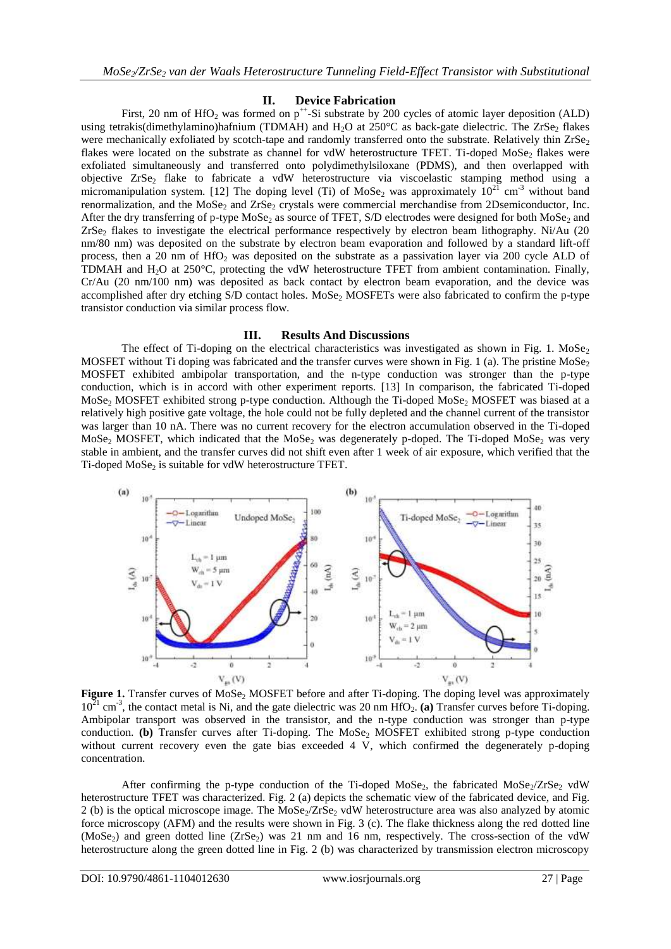## **II. Device Fabrication**

First, 20 nm of  $HfO<sub>2</sub>$  was formed on  $p^{++}$ -Si substrate by 200 cycles of atomic layer deposition (ALD) using tetrakis(dimethylamino)hafnium (TDMAH) and  $H_2O$  at 250°C as back-gate dielectric. The ZrSe<sub>2</sub> flakes were mechanically exfoliated by scotch-tape and randomly transferred onto the substrate. Relatively thin  $ZrSe<sub>2</sub>$ flakes were located on the substrate as channel for vdW heterostructure TFET. Ti-doped MoSe<sub>2</sub> flakes were exfoliated simultaneously and transferred onto polydimethylsiloxane (PDMS), and then overlapped with objective ZrSe<sub>2</sub> flake to fabricate a vdW heterostructure via viscoelastic stamping method using a micromanipulation system. [12] The doping level (Ti) of MoSe<sub>2</sub> was approximately  $10^{21}$  cm<sup>-3</sup> without band renormalization, and the MoSe<sub>2</sub> and ZrSe<sub>2</sub> crystals were commercial merchandise from 2Dsemiconductor, Inc. After the dry transferring of p-type MoSe<sub>2</sub> as source of TFET, S/D electrodes were designed for both MoSe<sub>2</sub> and  $ZrSe<sub>2</sub>$  flakes to investigate the electrical performance respectively by electron beam lithography. Ni/Au (20) nm/80 nm) was deposited on the substrate by electron beam evaporation and followed by a standard lift-off process, then a 20 nm of  $HfO<sub>2</sub>$  was deposited on the substrate as a passivation layer via 200 cycle ALD of TDMAH and  $H_2O$  at 250 $^{\circ}$ C, protecting the vdW heterostructure TFET from ambient contamination. Finally, Cr/Au (20 nm/100 nm) was deposited as back contact by electron beam evaporation, and the device was accomplished after dry etching S/D contact holes. MoSe<sub>2</sub> MOSFETs were also fabricated to confirm the p-type transistor conduction via similar process flow.

## **III. Results And Discussions**

The effect of Ti-doping on the electrical characteristics was investigated as shown in Fig. 1. MoSe<sub>2</sub> MOSFET without Ti doping was fabricated and the transfer curves were shown in Fig. 1 (a). The pristine  $Mose<sub>2</sub>$ MOSFET exhibited ambipolar transportation, and the n-type conduction was stronger than the p-type conduction, which is in accord with other experiment reports. [13] In comparison, the fabricated Ti-doped MoSe<sub>2</sub> MOSFET exhibited strong p-type conduction. Although the Ti-doped MoSe<sub>2</sub> MOSFET was biased at a relatively high positive gate voltage, the hole could not be fully depleted and the channel current of the transistor was larger than 10 nA. There was no current recovery for the electron accumulation observed in the Ti-doped MoSe<sub>2</sub> MOSFET, which indicated that the MoSe<sub>2</sub> was degenerately p-doped. The Ti-doped MoSe<sub>2</sub> was very stable in ambient, and the transfer curves did not shift even after 1 week of air exposure, which verified that the Ti-doped MoSe<sub>2</sub> is suitable for vdW heterostructure TFET.



**Figure 1.** Transfer curves of MoSe<sub>2</sub> MOSFET before and after Ti-doping. The doping level was approximately  $10^{21}$  cm<sup>-3</sup>, the contact metal is Ni, and the gate dielectric was 20 nm HfO<sub>2</sub>. (a) Transfer curves before Ti-doping. Ambipolar transport was observed in the transistor, and the n-type conduction was stronger than p-type conduction. **(b)** Transfer curves after Ti-doping. The MoSe<sub>2</sub> MOSFET exhibited strong p-type conduction without current recovery even the gate bias exceeded 4 V, which confirmed the degenerately p-doping concentration.

After confirming the p-type conduction of the Ti-doped MoSe<sub>2</sub>, the fabricated MoSe $\sqrt{Z}$ rSe<sub>2</sub> vdW heterostructure TFET was characterized. Fig. 2 (a) depicts the schematic view of the fabricated device, and Fig. 2 (b) is the optical microscope image. The  $MoSe_2/ZrSe_2$  vdW heterostructure area was also analyzed by atomic force microscopy (AFM) and the results were shown in Fig. 3 (c). The flake thickness along the red dotted line  $(MoSe<sub>2</sub>)$  and green dotted line  $(ZrSe<sub>2</sub>)$  was 21 nm and 16 nm, respectively. The cross-section of the vdW heterostructure along the green dotted line in Fig. 2 (b) was characterized by transmission electron microscopy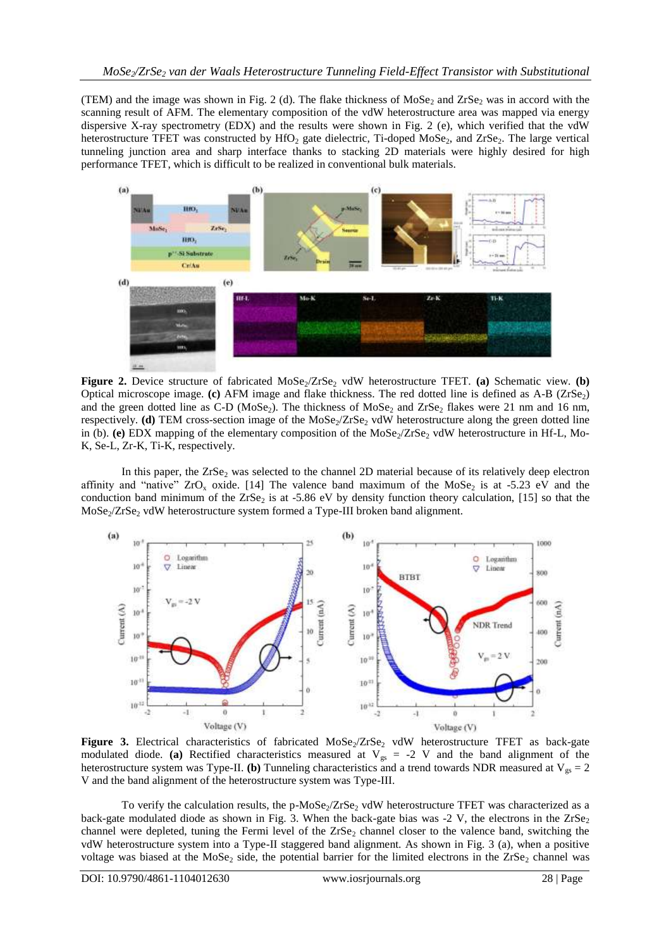(TEM) and the image was shown in Fig. 2 (d). The flake thickness of  $Mose_2$  and  $ZrSe_2$  was in accord with the scanning result of AFM. The elementary composition of the vdW heterostructure area was mapped via energy dispersive X-ray spectrometry (EDX) and the results were shown in Fig. 2 (e), which verified that the vdW heterostructure TFET was constructed by  $HfO<sub>2</sub>$  gate dielectric, Ti-doped MoSe<sub>2</sub>, and ZrSe<sub>2</sub>. The large vertical tunneling junction area and sharp interface thanks to stacking 2D materials were highly desired for high performance TFET, which is difficult to be realized in conventional bulk materials.



**Figure 2.** Device structure of fabricated MoSe<sub>2</sub>/ZrSe<sub>2</sub> vdW heterostructure TFET. (a) Schematic view. (b) Optical microscope image. **(c)** AFM image and flake thickness. The red dotted line is defined as A-B (ZrSe<sub>2</sub>) and the green dotted line as C-D (MoSe<sub>2</sub>). The thickness of MoSe<sub>2</sub> and ZrSe<sub>2</sub> flakes were 21 nm and 16 nm, respectively. **(d)** TEM cross-section image of the  $\text{MoSe}_2/\text{ZrSe}_2$  vdW heterostructure along the green dotted line in (b). **(e)** EDX mapping of the elementary composition of the MoSe<sub>2</sub>/ZrSe<sub>2</sub> vdW heterostructure in Hf-L, Mo-K, Se-L, Zr-K, Ti-K, respectively.

In this paper, the  $ZrSe_2$  was selected to the channel 2D material because of its relatively deep electron affinity and "native"  $ZrO_x$  oxide. [14] The valence band maximum of the MoSe<sub>2</sub> is at -5.23 eV and the conduction band minimum of the  $ZrSe_2$  is at -5.86 eV by density function theory calculation, [15] so that the  $MoSe<sub>2</sub>/ZrSe<sub>2</sub> vdW heterostructure system formed a Type-III broken band alignment.$ 



Figure 3. Electrical characteristics of fabricated MoSe<sub>2</sub>/ZrSe<sub>2</sub> vdW heterostructure TFET as back-gate modulated diode. **(a)** Rectified characteristics measured at  $V_{gs} = -2$  V and the band alignment of the heterostructure system was Type-II. **(b)** Tunneling characteristics and a trend towards NDR measured at  $V_{gs} = 2$ V and the band alignment of the heterostructure system was Type-III.

To verify the calculation results, the p-MoSe<sub>2</sub>/ZrSe<sub>2</sub> vdW heterostructure TFET was characterized as a back-gate modulated diode as shown in Fig. 3. When the back-gate bias was -2 V, the electrons in the  $ZrSe<sub>2</sub>$ channel were depleted, tuning the Fermi level of the  $ZrSe<sub>2</sub>$  channel closer to the valence band, switching the vdW heterostructure system into a Type-II staggered band alignment. As shown in Fig. 3 (a), when a positive voltage was biased at the MoSe<sub>2</sub> side, the potential barrier for the limited electrons in the  $\text{ZrSe}_2$  channel was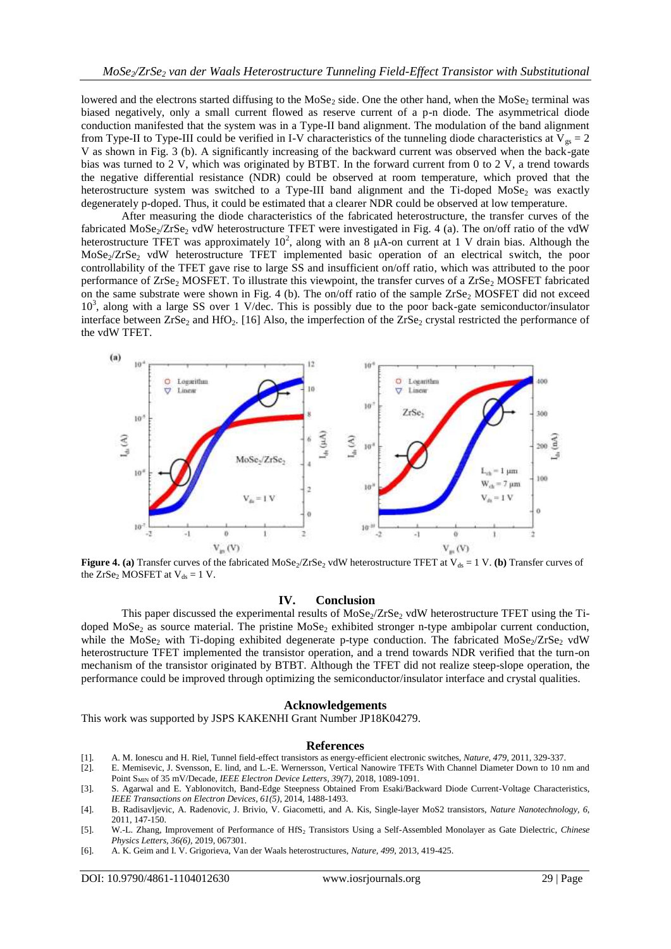lowered and the electrons started diffusing to the  $Mose_2$  side. One the other hand, when the  $Mose_2$  terminal was biased negatively, only a small current flowed as reserve current of a p-n diode. The asymmetrical diode conduction manifested that the system was in a Type-II band alignment. The modulation of the band alignment from Type-II to Type-III could be verified in I-V characteristics of the tunneling diode characteristics at  $V_{gs} = 2$ V as shown in Fig. 3 (b). A significantly increasing of the backward current was observed when the back-gate bias was turned to 2 V, which was originated by BTBT. In the forward current from 0 to 2 V, a trend towards the negative differential resistance (NDR) could be observed at room temperature, which proved that the heterostructure system was switched to a Type-III band alignment and the Ti-doped MoSe<sub>2</sub> was exactly degenerately p-doped. Thus, it could be estimated that a clearer NDR could be observed at low temperature.

After measuring the diode characteristics of the fabricated heterostructure, the transfer curves of the fabricated  $\text{MoSe}_{2}/\text{ZrSe}_{2}$  vdW heterostructure TFET were investigated in Fig. 4 (a). The on/off ratio of the vdW heterostructure TFET was approximately  $10^2$ , along with an 8  $\mu$ A-on current at 1 V drain bias. Although the  $Mose_2/ZrSe_2$  vdW heterostructure TFET implemented basic operation of an electrical switch, the poor controllability of the TFET gave rise to large SS and insufficient on/off ratio, which was attributed to the poor performance of  $ZrSe_2$  MOSFET. To illustrate this viewpoint, the transfer curves of a  $ZrSe_2$  MOSFET fabricated on the same substrate were shown in Fig. 4 (b). The on/off ratio of the sample  $ZrSe_2$  MOSFET did not exceed 10<sup>3</sup>, along with a large SS over 1 V/dec. This is possibly due to the poor back-gate semiconductor/insulator interface between  $ZrSe_2$  and HfO<sub>2</sub>. [16] Also, the imperfection of the  $ZrSe_2$  crystal restricted the performance of the vdW TFET.



**Figure 4.** (a) Transfer curves of the fabricated MoSe<sub>2</sub>/ZrSe<sub>2</sub> vdW heterostructure TFET at  $V_{ds} = 1 V$ . (b) Transfer curves of the  $ZrSe_2$  MOSFET at  $V_{ds} = 1$  V.

#### **IV. Conclusion**

This paper discussed the experimental results of  $Mose/ZrSe$ , vdW heterostructure TFET using the Tidoped  $MoSe<sub>2</sub>$  as source material. The pristine  $MoSe<sub>2</sub>$  exhibited stronger n-type ambipolar current conduction, while the MoSe<sub>2</sub> with Ti-doping exhibited degenerate p-type conduction. The fabricated MoSe<sub>2</sub>/ZrSe<sub>2</sub> vdW heterostructure TFET implemented the transistor operation, and a trend towards NDR verified that the turn-on mechanism of the transistor originated by BTBT. Although the TFET did not realize steep-slope operation, the performance could be improved through optimizing the semiconductor/insulator interface and crystal qualities.

#### **Acknowledgements**

This work was supported by JSPS KAKENHI Grant Number JP18K04279.

#### **References**

- [1]. A. M. Ionescu and H. Riel, Tunnel field-effect transistors as energy-efficient electronic switches, *Nature, 479*, 2011, 329-337.
- [2]. E. Memisevic, J. Svensson, E. lind, and L.-E. Wernersson, Vertical Nanowire TFETs With Channel Diameter Down to 10 nm and Point SMIN of 35 mV/Decade, *IEEE Electron Device Letters, 39(7)*, 2018, 1089-1091.
- [3]. S. Agarwal and E. Yablonovitch, Band-Edge Steepness Obtained From Esaki/Backward Diode Current-Voltage Characteristics, *IEEE Transactions on Electron Devices, 61(5)*, 2014, 1488-1493.
- [4]. B. Radisavljevic, A. Radenovic, J. Brivio, V. Giacometti, and A. Kis, Single-layer MoS2 transistors, *Nature Nanotechnology, 6*, 2011, 147-150.
- [5]. W.-L. Zhang, Improvement of Performance of HfS<sup>2</sup> Transistors Using a Self-Assembled Monolayer as Gate Dielectric, *Chinese Physics Letters, 36(6)*, 2019, 067301.
- [6]. A. K. Geim and I. V. Grigorieva, Van der Waals heterostructures, *Nature, 499*, 2013, 419-425.